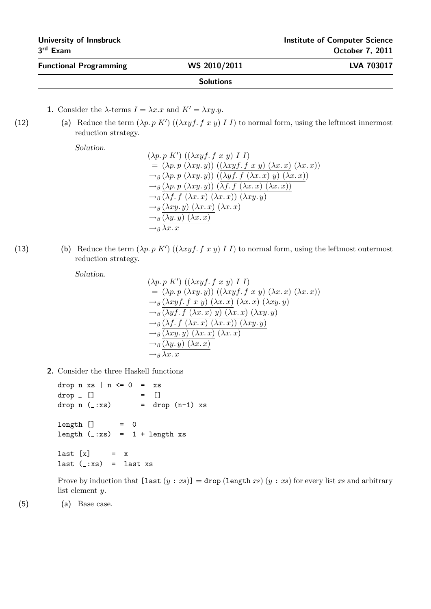| University of Innsbruck<br>$3rd$ Exam |                  | <b>Institute of Computer Science</b><br><b>October 7, 2011</b> |  |
|---------------------------------------|------------------|----------------------------------------------------------------|--|
| <b>Functional Programming</b>         | WS 2010/2011     | <b>LVA 703017</b>                                              |  |
|                                       | <b>Solutions</b> |                                                                |  |

**1.** Consider the  $\lambda$ -terms  $I = \lambda x.x$  and  $K' = \lambda xy.y$ .

(12) (a) Reduce the term  $(\lambda p. p K') ((\lambda xyf. f x y) I)$  to normal form, using the leftmost innermost reduction strategy.

Solution.

$$
(\lambda p. p K') ((\lambda xyf. f x y) I I)
$$
  
=  $(\lambda p. p (\lambda xy. y)) ((\lambda xyf. f x y) (\lambda x. x) (\lambda x. x))$   
 $\rightarrow_{\beta} (\lambda p. p (\lambda xy. y)) ((\lambda yf. f (\lambda x. x) y) (\lambda x. x))$   
 $\rightarrow_{\beta} (\lambda p. p (\lambda xy. y)) (\lambda f. f (\lambda x. x) (\lambda x. x))$   
 $\rightarrow_{\beta} (\lambda f. f (\lambda x. x) (\lambda x. x)) (\lambda xy. y)$   
 $\rightarrow_{\beta} (\lambda xy. y) (\lambda x. x) (\lambda x. x)$   
 $\rightarrow_{\beta} (\lambda y. y) (\lambda x. x)$   
 $\rightarrow_{\beta} \lambda x. x$ 

(13) (b) Reduce the term  $(\lambda p. p K') ((\lambda xyf. f x y) I I)$  to normal form, using the leftmost outermost reduction strategy.

Solution.

$$
(\lambda p. p K') ((\lambda xyf. f x y) I I)
$$
  
=  $(\lambda p. p (\lambda xy. y)) ((\lambda xyf. f x y) (\lambda x. x) (\lambda x. x))$   
 $\rightarrow_{\beta} (\lambda xyf. f x y) (\lambda x. x) (\lambda x. x) (\lambda xy. y)$   
 $\rightarrow_{\beta} (\lambda yf. f (\lambda x. x) y) (\lambda x. x) (\lambda xy. y)$   
 $\rightarrow_{\beta} (\lambda f. f (\lambda x. x) (\lambda x. x)) (\lambda xy. y)$   
 $\rightarrow_{\beta} (\lambda xy. y) (\lambda x. x) (\lambda x. x)$   
 $\rightarrow_{\beta} (\lambda y. y) (\lambda x. x)$   
 $\rightarrow_{\beta} \lambda x. x$ 

2. Consider the three Haskell functions

drop  $n$  xs |  $n \leq 0$  = xs  $drop [ ]$  =  $[ ]$ drop  $n$  ( $\pm$ :xs) = drop  $(n-1)$  xs  $length$   $]$  = 0 length  $(\_:xs) = 1 + length xs$  $last [x] = x$ last  $(\_:xs) =$  last xs

Prove by induction that  $[\text{last } (y : xs)] = \text{drop } (\text{length } xs) (y : xs) \text{ for every list } xs \text{ and arbitrary } x$ list element y.

(5) (a) Base case.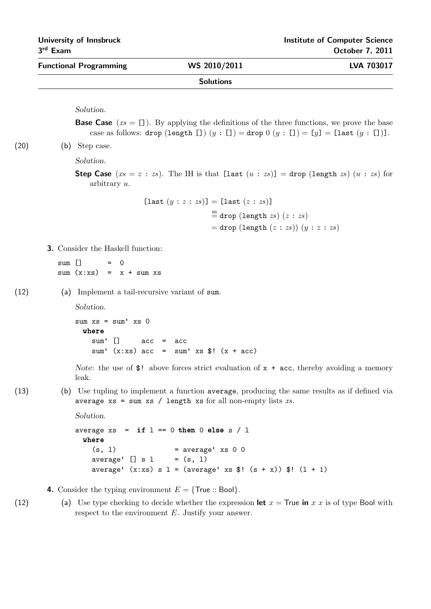| <b>Functional Programming</b> | WS 2010/2011     | <b>LVA 703017</b> |
|-------------------------------|------------------|-------------------|
|                               | <b>Solutions</b> |                   |

Solution.

**Base Case**  $(xs = [])$ . By applying the definitions of the three functions, we prove the base case as follows: drop (length [])  $(y : []$  = drop  $0 (y : []$  = [y] = [last  $(y : []$ ].

(20) (b) Step case.

Solution.

**Step Case**  $(xs = z : zs)$ . The IH is that  $[\text{last } (u : zs)] = \text{drop } (\text{length } zs) (u : zs)$  for arbitrary u.

> [last  $(y : z : zs)$ ] = [last  $(z : zs)$ ]  $\stackrel{\text{IH}}{=}$  drop (length *zs*) (*z* : *zs*)  $=$  drop (length  $(z : zs)$ )  $(y : z : zs)$

3. Consider the Haskell function:

 $sum [$  = 0  $sum (x:xs) = x + sum xs$ 

(12) (a) Implement a tail-recursive variant of sum.

Solution.

```
sum xs = sum xs 0where
sum' [] acc = acc
sum' (x:xs) acc = sum' xs \frac{1}{2}! (x + acc)
```
Note: the use of \$! above forces strict evaluation of  $x + acc$ , thereby avoiding a memory leak.

(13) (b) Use tupling to implement a function average, producing the same results as if defined via average  $xs = sum xs / length xs for all non-empty lists xs.$ 

```
Solution.
```

```
average xs = if 1 == 0 then 0 else s / 1where
(s, 1) = average' xs 0 0
average' \begin{bmatrix} 1 & s & 1 \end{bmatrix} = (s, 1)average' (x:xs) s 1 = (average' xs $! (s + x)) $! (1 + 1)
```
4. Consider the typing environment  $E = \{True::Bool\}.$ 

(12) (a) Use type checking to decide whether the expression let  $x =$  True in x x is of type Bool with respect to the environment E. Justify your answer.